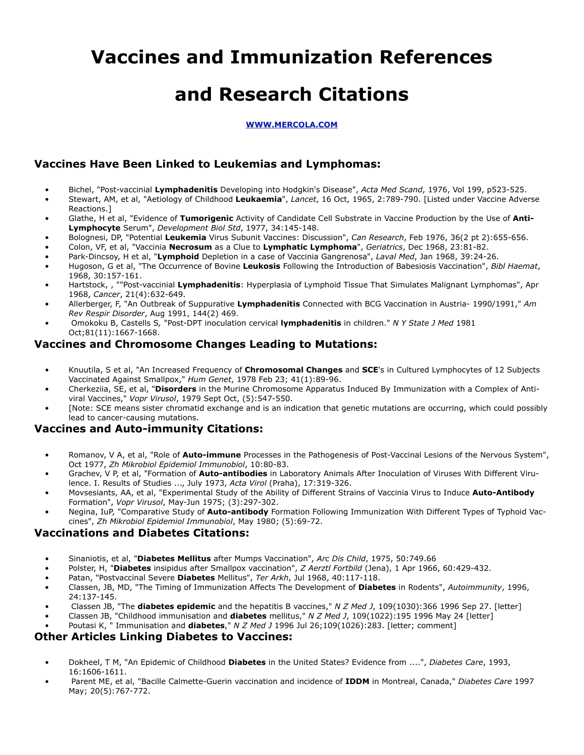# **Vaccines and Immunization References**

## **and Research Citations**

#### **[WWW.MERCOLA.COM](http://WWW.MERCOLA.COM)**

## **Vaccines Have Been Linked to Leukemias and Lymphomas:**

- Bichel, "Post-vaccinial **Lymphadenitis** Developing into Hodgkin's Disease", *Acta Med Scand*, 1976, Vol 199, p523-525.
- Stewart, AM, et al, "Aetiology of Childhood **Leukaemia**", *Lancet*, 16 Oct, 1965, 2:789-790. [Listed under Vaccine Adverse Reactions.]
- Glathe, H et al, "Evidence of **Tumorigenic** Activity of Candidate Cell Substrate in Vaccine Production by the Use of **Anti-Lymphocyte** Serum", *Development Biol Std*, 1977, 34:145-148.
- Bolognesi, DP, "Potential **Leukemia** Virus Subunit Vaccines: Discussion", *Can Research*, Feb 1976, 36(2 pt 2):655-656.
- Colon, VF, et al, "Vaccinia **Necrosum** as a Clue to **Lymphatic Lymphoma**", *Geriatrics*, Dec 1968, 23:81-82.
- Park-Dincsoy, H et al, "**Lymphoid** Depletion in a case of Vaccinia Gangrenosa", *Laval Med*, Jan 1968, 39:24-26.
- Hugoson, G et al, "The Occurrence of Bovine **Leukosis** Following the Introduction of Babesiosis Vaccination", *Bibl Haemat*, 1968, 30:157-161.
- Hartstock, , ""Post-vaccinial **Lymphadenitis**: Hyperplasia of Lymphoid Tissue That Simulates Malignant Lymphomas", Apr 1968, *Cancer*, 21(4):632-649.
- Allerberger, F, "An Outbreak of Suppurative **Lymphadenitis** Connected with BCG Vaccination in Austria- 1990/1991," *Am Rev Respir Disorder*, Aug 1991, 144(2) 469.
- Omokoku B, Castells S*,* "Post-DPT inoculation cervical **lymphadenitis** in children." *N Y State J Med* 1981 Oct;81(11):1667-1668.

## **Vaccines and Chromosome Changes Leading to Mutations:**

- Knuutila, S et al, "An Increased Frequency of **Chromosomal Changes** and **SCE**'s in Cultured Lymphocytes of 12 Subjects Vaccinated Against Smallpox," *Hum Genet*, 1978 Feb 23; 41(1):89-96.
- Cherkeziia, SE, et al, "**Disorders** in the Murine Chromosome Apparatus Induced By Immunization with a Complex of Antiviral Vaccines," *Vopr Virusol*, 1979 Sept Oct, (5):547-550.
- [Note: SCE means sister chromatid exchange and is an indication that genetic mutations are occurring, which could possibly lead to cancer-causing mutations.

## **Vaccines and Auto-immunity Citations:**

- Romanov, V A, et al, "Role of **Auto-immune** Processes in the Pathogenesis of Post-Vaccinal Lesions of the Nervous System", Oct 1977, *Zh Mikrobiol Epidemiol Immunobiol*, 10:80-83.
- Grachev, V P, et al, "Formation of **Auto-antibodies** in Laboratory Animals After Inoculation of Viruses With Different Virulence. I. Results of Studies ..., July 1973, *Acta Virol* (Praha), 17:319-326.
- Movsesiants, AA, et al, "Experimental Study of the Ability of Different Strains of Vaccinia Virus to Induce **Auto-Antibody** Formation", *Vopr Virusol*, May-Jun 1975; (3):297-302.
- Negina, IuP, "Comparative Study of **Auto-antibody** Formation Following Immunization With Different Types of Typhoid Vaccines", *Zh Mikrobiol Epidemiol Immunobiol*, May 1980; (5):69-72.

## **Vaccinations and Diabetes Citations:**

- Sinaniotis, et al, "**Diabetes Mellitus** after Mumps Vaccination", *Arc Dis Child*, 1975, 50:749.66
- Polster, H, "**Diabetes** insipidus after Smallpox vaccination", *Z Aerztl Fortbild* (Jena), 1 Apr 1966, 60:429-432.
- Patan, "Postvaccinal Severe **Diabetes** Mellitus", *Ter Arkh*, Jul 1968, 40:117-118.
- Classen, JB, MD, "The Timing of Immunization Affects The Development of **Diabetes** in Rodents", *Autoimmunity*, 1996, 24:137-145.
- Classen JB, "The **diabetes epidemic** and the hepatitis B vaccines," *N Z Med J*, 109(1030):366 1996 Sep 27. [letter]
- Classen JB, "Childhood immunisation and **diabetes** mellitus," *N Z Med J*, 109(1022):195 1996 May 24 [letter]
- Poutasi K, " Immunisation and **diabetes**," *N Z Med J* 1996 Jul 26;109(1026):283. [letter; comment]

## **Other Articles Linking Diabetes to Vaccines:**

- Dokheel, T M, "An Epidemic of Childhood **Diabetes** in the United States? Evidence from ....", *Diabetes Care*, 1993, 16:1606-1611.
- Parent ME, et al, "Bacille Calmette-Guerin vaccination and incidence of **IDDM** in Montreal, Canada," *Diabetes Care* 1997 May; 20(5):767-772.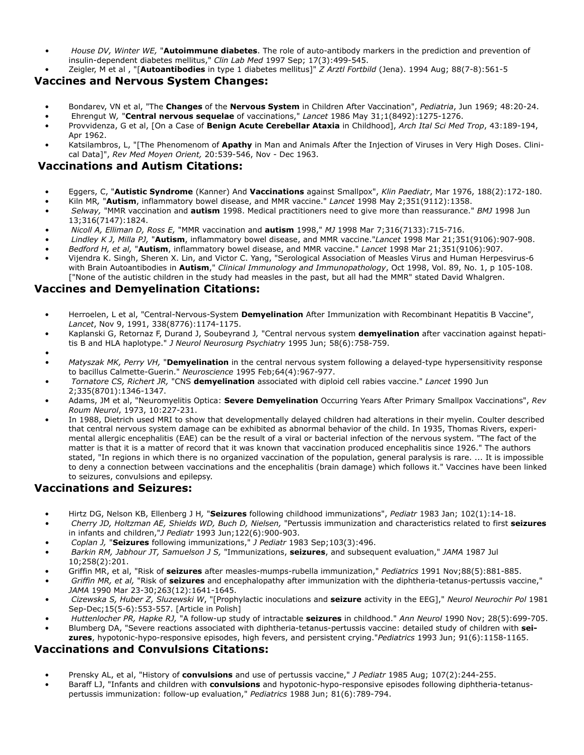- *House DV, Winter WE,* "**Autoimmune diabetes**. The role of auto-antibody markers in the prediction and prevention of insulin-dependent diabetes mellitus," *Clin Lab Med* 1997 Sep; 17(3):499-545.
- Zeigler, M et al , "[**Autoantibodies** in type 1 diabetes mellitus]" *Z Arztl Fortbild* (Jena). 1994 Aug; 88(7-8):561-5

### **Vaccines and Nervous System Changes:**

- Bondarev, VN et al, "The **Changes** of the **Nervous System** in Children After Vaccination", *Pediatria*, Jun 1969; 48:20-24.
- Ehrengut W*,* "**Central nervous sequelae** of vaccinations," *Lancet* 1986 May 31;1(8492):1275-1276.
- Provvidenza, G et al, [On a Case of **Benign Acute Cerebellar Ataxia** in Childhood], *Arch Ital Sci Med Trop*, 43:189-194, Apr 1962.
- Katsilambros, L, "[The Phenomenom of **Apathy** in Man and Animals After the Injection of Viruses in Very High Doses. Clinical Data]", *Rev Med Moyen Orient,* 20:539-546, Nov - Dec 1963.

## **Vaccinations and Autism Citations:**

- Eggers, C, "**Autistic Syndrome** (Kanner) And **Vaccinations** against Smallpox", *Klin Paediatr*, Mar 1976, 188(2):172-180.
- Kiln MR*,* "**Autism**, inflammatory bowel disease, and MMR vaccine." *Lancet* 1998 May 2;351(9112):1358.
- *Selway,* "MMR vaccination and **autism** 1998. Medical practitioners need to give more than reassurance." *BMJ* 1998 Jun 13;316(7147):1824.
- *Nicoll A, Elliman D, Ross E,* "MMR vaccination and **autism** 1998," *MJ* 1998 Mar 7;316(7133):715-716.
- *Lindley K J, Milla PJ,* "**Autism**, inflammatory bowel disease, and MMR vaccine."*Lancet* 1998 Mar 21;351(9106):907-908.
- *• Bedford H, et al,* "**Autism**, inflammatory bowel disease, and MMR vaccine." *Lancet* 1998 Mar 21;351(9106):907.
- Vijendra K. Singh, Sheren X. Lin, and Victor C. Yang, "Serological Association of Measles Virus and Human Herpesvirus-6 with Brain Autoantibodies in **Autism**," *Clinical Immunology and Immunopathology*, Oct 1998, Vol. 89, No. 1, p 105-108. ["None of the autistic children in the study had measles in the past, but all had the MMR" stated David Whalgren.

## **Vaccines and Demyelination Citations:**

- Herroelen, L et al, "Central-Nervous-System **Demyelination** After Immunization with Recombinant Hepatitis B Vaccine", *Lancet*, Nov 9, 1991, 338(8776):1174-1175.
- Kaplanski G, Retornaz F, Durand J, Soubeyrand J*,* "Central nervous system **demyelination** after vaccination against hepatitis B and HLA haplotype." *J Neurol Neurosurg Psychiatry* 1995 Jun; 58(6):758-759.
- *•*
- *• Matyszak MK, Perry VH,* "**Demyelination** in the central nervous system following a delayed-type hypersensitivity response to bacillus Calmette-Guerin." *Neuroscience* 1995 Feb;64(4):967-977.
- *Tornatore CS, Richert JR,* "CNS **demyelination** associated with diploid cell rabies vaccine." *Lancet* 1990 Jun 2;335(8701):1346-1347.
- Adams, JM et al, "Neuromyelitis Optica: **Severe Demyelination** Occurring Years After Primary Smallpox Vaccinations", *Rev Roum Neurol*, 1973, 10:227-231.
- In 1988, Dietrich used MRI to show that developmentally delayed children had alterations in their myelin. Coulter described that central nervous system damage can be exhibited as abnormal behavior of the child. In 1935, Thomas Rivers, experimental allergic encephalitis (EAE) can be the result of a viral or bacterial infection of the nervous system. "The fact of the matter is that it is a matter of record that it was known that vaccination produced encephalitis since 1926." The authors stated, "In regions in which there is no organized vaccination of the population, general paralysis is rare. ... It is impossible to deny a connection between vaccinations and the encephalitis (brain damage) which follows it." Vaccines have been linked to seizures, convulsions and epilepsy.

#### **Vaccinations and Seizures:**

- Hirtz DG, Nelson KB, Ellenberg J H*,* "**Seizures** following childhood immunizations", *Pediatr* 1983 Jan; 102(1):14-18.
- *Cherry JD, Holtzman AE, Shields WD, Buch D, Nielsen,* "Pertussis immunization and characteristics related to first **seizures** in infants and children,"*J Pediatr* 1993 Jun;122(6):900-903.
- *Coplan J,* "**Seizures** following immunizations," *J Pediatr* 1983 Sep;103(3):496.
- *Barkin RM, Jabhour JT, Samuelson J S,* "Immunizations, **seizures**, and subsequent evaluation," *JAMA* 1987 Jul 10;258(2):201.
- Griffin MR, et al, "Risk of **seizures** after measles-mumps-rubella immunization," *Pediatrics* 1991 Nov;88(5):881-885.
- *Griffin MR, et al,* "Risk of **seizures** and encephalopathy after immunization with the diphtheria-tetanus-pertussis vaccine," *JAMA* 1990 Mar 23-30;263(12):1641-1645.
- *Cizewska S, Huber Z, Sluzewski W*, "[Prophylactic inoculations and **seizure** activity in the EEG]," *Neurol Neurochir Pol* 1981 Sep-Dec;15(5-6):553-557. [Article in Polish]
- *Huttenlocher PR, Hapke RJ,* "A follow-up study of intractable **seizures** in childhood." *Ann Neurol* 1990 Nov; 28(5):699-705.
- Blumberg DA, "Severe reactions associated with diphtheria-tetanus-pertussis vaccine: detailed study of children with **seizures**, hypotonic-hypo-responsive episodes, high fevers, and persistent crying."*Pediatrics* 1993 Jun; 91(6):1158-1165.

#### **Vaccinations and Convulsions Citations:**

- Prensky AL, et al, "History of **convulsions** and use of pertussis vaccine," *J Pediatr* 1985 Aug; 107(2):244-255.
- Baraff LJ, "Infants and children with **convulsions** and hypotonic-hypo-responsive episodes following diphtheria-tetanuspertussis immunization: follow-up evaluation," *Pediatrics* 1988 Jun; 81(6):789-794.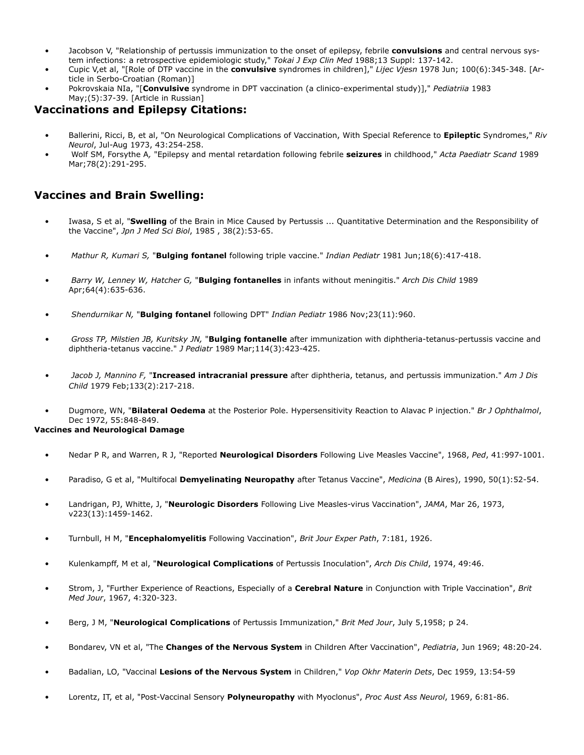- Jacobson V, "Relationship of pertussis immunization to the onset of epilepsy, febrile **convulsions** and central nervous system infections: a retrospective epidemiologic study," *Tokai J Exp Clin Med* 1988;13 Suppl: 137-142.
- Cupic V,et al, "[Role of DTP vaccine in the **convulsive** syndromes in children]," *Lijec Vjesn* 1978 Jun; 100(6):345-348. [Article in Serbo-Croatian (Roman)]
- Pokrovskaia NIa, "[**Convulsive** syndrome in DPT vaccination (a clinico-experimental study)]," *Pediatriia* 1983 May;(5):37-39. [Article in Russian]

### **Vaccinations and Epilepsy Citations:**

- Ballerini, Ricci, B, et al, "On Neurological Complications of Vaccination, With Special Reference to **Epileptic** Syndromes," *Riv Neurol*, Jul-Aug 1973, 43:254-258.
- Wolf SM, Forsythe A*,* "Epilepsy and mental retardation following febrile **seizures** in childhood," *Acta Paediatr Scand* 1989 Mar;78(2):291-295.

## **Vaccines and Brain Swelling:**

- Iwasa, S et al, "**Swelling** of the Brain in Mice Caused by Pertussis ... Quantitative Determination and the Responsibility of the Vaccine", *Jpn J Med Sci Biol*, 1985 , 38(2):53-65.
- *Mathur R, Kumari S,* "**Bulging fontanel** following triple vaccine." *Indian Pediatr* 1981 Jun;18(6):417-418.
- *Barry W, Lenney W, Hatcher G,* "**Bulging fontanelles** in infants without meningitis." *Arch Dis Child* 1989 Apr;64(4):635-636.
- *Shendurnikar N,* "**Bulging fontanel** following DPT" *Indian Pediatr* 1986 Nov;23(11):960.
- *Gross TP, Milstien JB, Kuritsky JN,* "**Bulging fontanelle** after immunization with diphtheria-tetanus-pertussis vaccine and diphtheria-tetanus vaccine." *J Pediatr* 1989 Mar;114(3):423-425.
- *Jacob J, Mannino F,* "**Increased intracranial pressure** after diphtheria, tetanus, and pertussis immunization." *Am J Dis Child* 1979 Feb;133(2):217-218.
- Dugmore, WN, "**Bilateral Oedema** at the Posterior Pole. Hypersensitivity Reaction to Alavac P injection." *Br J Ophthalmol*, Dec 1972, 55:848-849.

#### **Vaccines and Neurological Damage**

- Nedar P R, and Warren, R J, "Reported **Neurological Disorders** Following Live Measles Vaccine", 1968, *Ped*, 41:997-1001.
- Paradiso, G et al, "Multifocal **Demyelinating Neuropathy** after Tetanus Vaccine", *Medicina* (B Aires), 1990, 50(1):52-54.
- Landrigan, PJ, Whitte, J, "**Neurologic Disorders** Following Live Measles-virus Vaccination", *JAMA*, Mar 26, 1973, v223(13):1459-1462.
- Turnbull, H M, "**Encephalomyelitis** Following Vaccination", *Brit Jour Exper Path*, 7:181, 1926.
- Kulenkampff, M et al, "**Neurological Complications** of Pertussis Inoculation", *Arch Dis Child*, 1974, 49:46.
- Strom, J, "Further Experience of Reactions, Especially of a **Cerebral Nature** in Conjunction with Triple Vaccination", *Brit Med Jour*, 1967, 4:320-323.
- Berg, J M, "**Neurological Complications** of Pertussis Immunization," *Brit Med Jour*, July 5,1958; p 24.
- Bondarev, VN et al, "The **Changes of the Nervous System** in Children After Vaccination", *Pediatria*, Jun 1969; 48:20-24.
- Badalian, LO, "Vaccinal **Lesions of the Nervous System** in Children," *Vop Okhr Materin Dets*, Dec 1959, 13:54-59
- Lorentz, IT, et al, "Post-Vaccinal Sensory **Polyneuropathy** with Myoclonus", *Proc Aust Ass Neurol*, 1969, 6:81-86.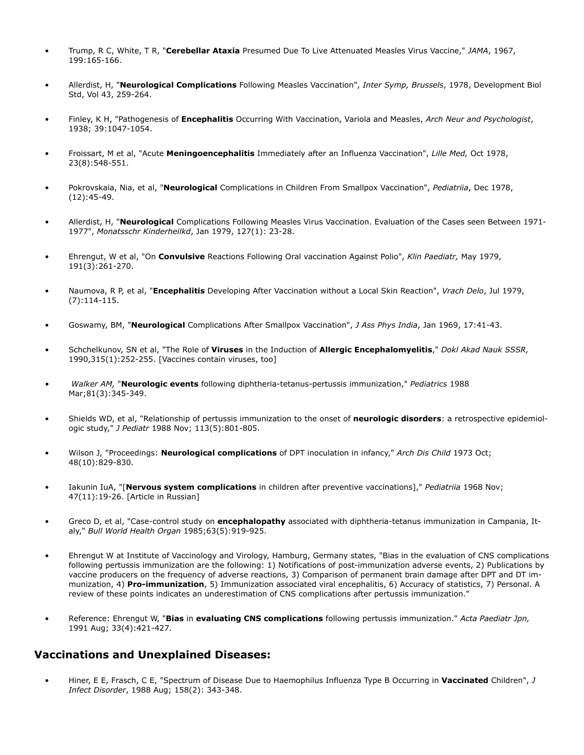- Trump, R C, White, T R, "**Cerebellar Ataxia** Presumed Due To Live Attenuated Measles Virus Vaccine," *JAMA*, 1967, 199:165-166.
- Allerdist, H, "**Neurological Complications** Following Measles Vaccination", *Inter Symp, Brussels*, 1978, Development Biol Std, Vol 43, 259-264.
- Finley, K H, "Pathogenesis of **Encephalitis** Occurring With Vaccination, Variola and Measles, *Arch Neur and Psychologist*, 1938; 39:1047-1054.
- Froissart, M et al, "Acute **Meningoencephalitis** Immediately after an Influenza Vaccination", *Lille Med,* Oct 1978, 23(8):548-551.
- Pokrovskaia, Nia, et al, "**Neurological** Complications in Children From Smallpox Vaccination", *Pediatriia*, Dec 1978, (12):45-49.
- Allerdist, H, "**Neurological** Complications Following Measles Virus Vaccination. Evaluation of the Cases seen Between 1971- 1977", *Monatsschr Kinderheilkd*, Jan 1979, 127(1): 23-28.
- Ehrengut, W et al, "On **Convulsive** Reactions Following Oral vaccination Against Polio", *Klin Paediatr,* May 1979, 191(3):261-270.
- Naumova, R P, et al, "**Encephalitis** Developing After Vaccination without a Local Skin Reaction", *Vrach Delo*, Jul 1979, (7):114-115.
- Goswamy, BM, "**Neurological** Complications After Smallpox Vaccination", *J Ass Phys India*, Jan 1969, 17:41-43.
- Schchelkunov, SN et al, "The Role of **Viruses** in the Induction of **Allergic Encephalomyelitis**," *Dokl Akad Nauk SSSR,*  1990,315(1):252-255. [Vaccines contain viruses, too]
- *Walker AM,* "**Neurologic events** following diphtheria-tetanus-pertussis immunization," *Pediatrics* 1988 Mar;81(3):345-349.
- Shields WD, et al, "Relationship of pertussis immunization to the onset of **neurologic disorders**: a retrospective epidemiologic study," *J Pediatr* 1988 Nov; 113(5):801-805.
- Wilson J*,* "Proceedings: **Neurological complications** of DPT inoculation in infancy," *Arch Dis Child* 1973 Oct; 48(10):829-830.
- Iakunin IuA, "[**Nervous system complications** in children after preventive vaccinations]," *Pediatriia* 1968 Nov; 47(11):19-26. [Article in Russian]
- Greco D, et al, "Case-control study on **encephalopathy** associated with diphtheria-tetanus immunization in Campania, Italy," *Bull World Health Organ* 1985;63(5):919-925.
- Ehrengut W at Institute of Vaccinology and Virology, Hamburg, Germany states, "Bias in the evaluation of CNS complications following pertussis immunization are the following: 1) Notifications of post-immunization adverse events, 2) Publications by vaccine producers on the frequency of adverse reactions, 3) Comparison of permanent brain damage after DPT and DT immunization, 4) **Pro-immunization**, 5) Immunization associated viral encephalitis, 6) Accuracy of statistics, 7) Personal. A review of these points indicates an underestimation of CNS complications after pertussis immunization."
- Reference: Ehrengut W, "**Bias** in **evaluating CNS complications** following pertussis immunization." *Acta Paediatr Jpn,* 1991 Aug; 33(4):421-427.

## **Vaccinations and Unexplained Diseases:**

• Hiner, E E, Frasch, C E, "Spectrum of Disease Due to Haemophilus Influenza Type B Occurring in **Vaccinated** Children", *J Infect Disorder*, 1988 Aug; 158(2): 343-348.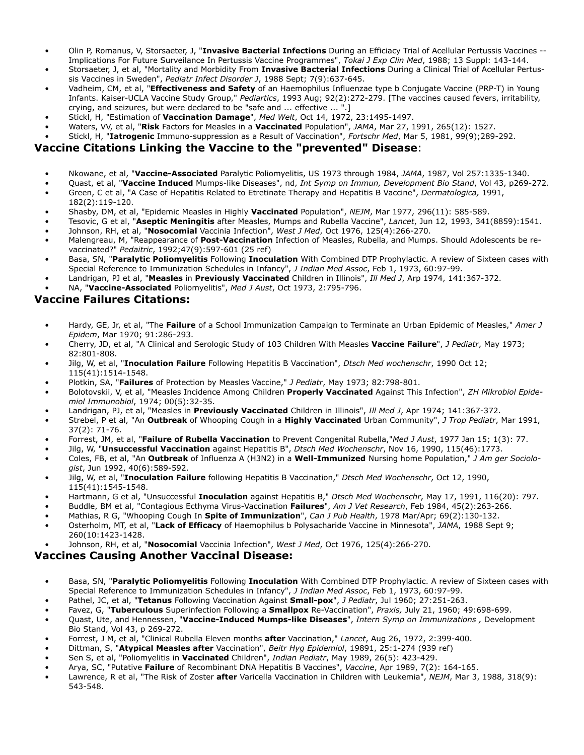- Olin P, Romanus, V, Storsaeter, J, "**Invasive Bacterial Infections** During an Efficiacy Trial of Acellular Pertussis Vaccines -- Implications For Future Surveilance In Pertussis Vaccine Programmes", *Tokai J Exp Clin Med*, 1988; 13 Suppl: 143-144.
- Storsaeter, J, et al, "Mortality and Morbidity From **Invasive Bacterial Infections** During a Clinical Trial of Acellular Pertussis Vaccines in Sweden", *Pediatr Infect Disorder J*, 1988 Sept; 7(9):637-645.
- Vadheim, CM, et al, "**Effectiveness and Safety** of an Haemophilus Influenzae type b Conjugate Vaccine (PRP-T) in Young Infants. Kaiser-UCLA Vaccine Study Group," *Pediartics*, 1993 Aug; 92(2):272-279. [The vaccines caused fevers, irritability, crying, and seizures, but were declared to be "safe and ... effective ... ".]
- Stickl, H, "Estimation of **Vaccination Damage**", *Med Welt*, Oct 14, 1972, 23:1495-1497.
- Waters, VV, et al, "**Risk** Factors for Measles in a **Vaccinated** Population", *JAMA*, Mar 27, 1991, 265(12): 1527.
- Stickl, H, "**Iatrogenic** Immuno-suppression as a Result of Vaccination", *Fortschr Med*, Mar 5, 1981, 99(9);289-292.

## **Vaccine Citations Linking the Vaccine to the "prevented" Disease**:

- Nkowane, et al, "**Vaccine-Associated** Paralytic Poliomyelitis, US 1973 through 1984, *JAMA*, 1987, Vol 257:1335-1340.
- Quast, et al, "**Vaccine Induced** Mumps-like Diseases", nd, *Int Symp on Immun, Development Bio Stand*, Vol 43, p269-272. • Green, C et al, "A Case of Hepatitis Related to Etretinate Therapy and Hepatitis B Vaccine", *Dermatologica,* 1991,
- 182(2):119-120. • Shasby, DM, et al, "Epidemic Measles in Highly **Vaccinated** Population", *NEJM*, Mar 1977, 296(11): 585-589.
- Tesovic, G et al, "**Aseptic Meningitis** after Measles, Mumps and Rubella Vaccine", *Lancet*, Jun 12, 1993, 341(8859):1541.
- Johnson, RH, et al, "**Nosocomial** Vaccinia Infection", *West J Med*, Oct 1976, 125(4):266-270.
- Malengreau, M, "Reappearance of **Post-Vaccination** Infection of Measles, Rubella, and Mumps. Should Adolescents be revaccinated?" *Pedaitric*, 1992;47(9):597-601 (25 ref)
- Basa, SN, "**Paralytic Poliomyelitis** Following **Inoculation** With Combined DTP Prophylactic. A review of Sixteen cases with Special Reference to Immunization Schedules in Infancy", *J Indian Med Assoc*, Feb 1, 1973, 60:97-99.
- Landrigan, PJ et al, "**Measles** in **Previously Vaccinated** Children in Illinois", *Ill Med J*, Arp 1974, 141:367-372.
- NA, "**Vaccine-Associated** Poliomyelitis", *Med J Aust*, Oct 1973, 2:795-796.

#### **Vaccine Failures Citations:**

- Hardy, GE, Jr, et al, "The **Failure** of a School Immunization Campaign to Terminate an Urban Epidemic of Measles," *Amer J Epidem*, Mar 1970; 91:286-293.
- Cherry, JD, et al, "A Clinical and Serologic Study of 103 Children With Measles **Vaccine Failure**", *J Pediatr*, May 1973; 82:801-808.
- Jilg, W, et al, "**Inoculation Failure** Following Hepatitis B Vaccination", *Dtsch Med wochenschr*, 1990 Oct 12; 115(41):1514-1548.
- Plotkin, SA, "**Failures** of Protection by Measles Vaccine," *J Pediatr*, May 1973; 82:798-801.
- Bolotovskii, V, et al, "Measles Incidence Among Children **Properly Vaccinated** Against This Infection", *ZH Mikrobiol Epidemiol Immunobiol*, 1974; 00(5):32-35.
- Landrigan, PJ, et al, "Measles in **Previously Vaccinated** Children in Illinois", *Ill Med J*, Apr 1974; 141:367-372.
- Strebel, P et al, "An **Outbreak** of Whooping Cough in a **Highly Vaccinated** Urban Community", *J Trop Pediatr*, Mar 1991, 37(2): 71-76.
- Forrest, JM, et al, "**Failure of Rubella Vaccination** to Prevent Congenital Rubella,"*Med J Aust*, 1977 Jan 15; 1(3): 77.
- Jilg, W, "**Unsuccessful Vaccination** against Hepatitis B", *Dtsch Med Wochenschr*, Nov 16, 1990, 115(46):1773.
- Coles, FB, et al, "An **Outbreak** of Influenza A (H3N2) in a **Well-Immunized** Nursing home Population," *J Am ger Sociologist*, Jun 1992, 40(6):589-592.
- Jilg, W, et al, "**Inoculation Failure** following Hepatitis B Vaccination," *Dtsch Med Wochenschr*, Oct 12, 1990, 115(41):1545-1548.
- Hartmann, G et al, "Unsuccessful **Inoculation** against Hepatitis B," *Dtsch Med Wochenschr*, May 17, 1991, 116(20): 797.
- Buddle, BM et al, "Contagious Ecthyma Virus-Vaccination **Failures**", *Am J Vet Research*, Feb 1984, 45(2):263-266.
- Mathias, R G, "Whooping Cough In **Spite of Immunization**", *Can J Pub Health*, 1978 Mar/Apr; 69(2):130-132.
- Osterholm, MT, et al, "**Lack of Efficacy** of Haemophilus b Polysacharide Vaccine in Minnesota", *JAMA*, 1988 Sept 9; 260(10:1423-1428.
- Johnson, RH, et al, "**Nosocomial** Vaccinia Infection", *West J Med*, Oct 1976, 125(4):266-270.

#### **Vaccines Causing Another Vaccinal Disease:**

- Basa, SN, "**Paralytic Poliomyelitis** Following **Inoculation** With Combined DTP Prophylactic. A review of Sixteen cases with Special Reference to Immunization Schedules in Infancy", *J Indian Med Assoc*, Feb 1, 1973, 60:97-99.
- Pathel, JC, et al, "**Tetanus** Following Vaccination Against **Small-pox**", *J Pediatr*, Jul 1960; 27:251-263.
- Favez, G, "**Tuberculous** Superinfection Following a **Smallpox** Re-Vaccination", *Praxis,* July 21, 1960; 49:698-699.
- Quast, Ute, and Hennessen, "**Vaccine-Induced Mumps-like Diseases**", *Intern Symp on Immunizations ,* Development Bio Stand, Vol 43, p 269-272.
- Forrest, J M, et al, "Clinical Rubella Eleven months **after** Vaccination," *Lancet*, Aug 26, 1972, 2:399-400.
- Dittman, S, "**Atypical Measles after** Vaccination", *Beitr Hyg Epidemiol*, 19891, 25:1-274 (939 ref)
- Sen S, et al, "Poliomyelitis in **Vaccinated** Children", *Indian Pediatr*, May 1989, 26(5): 423-429.
- Arya, SC, "Putative **Failure** of Recombinant DNA Hepatitis B Vaccines", *Vaccine*, Apr 1989, 7(2): 164-165.
- Lawrence, R et al, "The Risk of Zoster **after** Varicella Vaccination in Children with Leukemia", *NEJM*, Mar 3, 1988, 318(9): 543-548.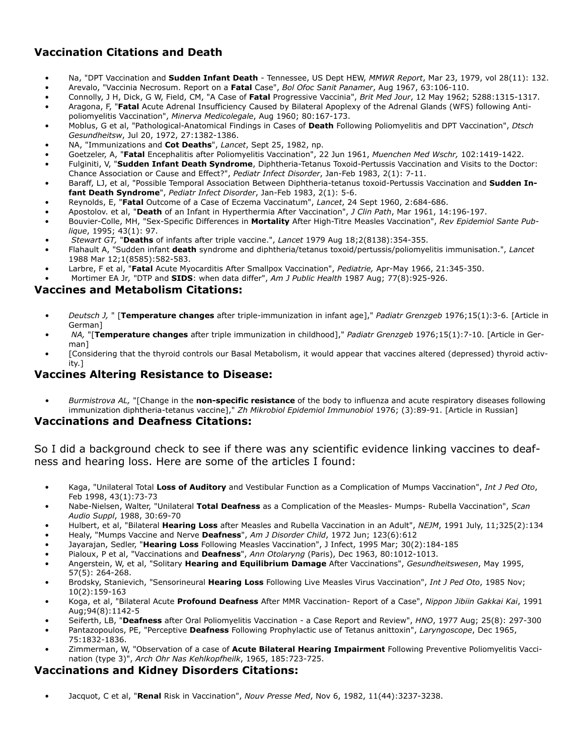## **Vaccination Citations and Death**

- Na, "DPT Vaccination and **Sudden Infant Death** Tennessee, US Dept HEW, *MMWR Report*, Mar 23, 1979, vol 28(11): 132.
- Arevalo, "Vaccinia Necrosum. Report on a **Fatal** Case", *Bol Ofoc Sanit Panamer*, Aug 1967, 63:106-110.
- Connolly, J H, Dick, G W, Field, CM, "A Case of **Fatal** Progressive Vaccinia", *Brit Med Jour*, 12 May 1962; 5288:1315-1317.
- Aragona, F, "**Fatal** Acute Adrenal Insufficiency Caused by Bilateral Apoplexy of the Adrenal Glands (WFS) following Antipoliomyelitis Vaccination", *Minerva Medicolegale*, Aug 1960; 80:167-173.
- Moblus, G et al, "Pathological-Anatomical Findings in Cases of **Death** Following Poliomyelitis and DPT Vaccination", *Dtsch Gesundheitsw*, Jul 20, 1972, 27:1382-1386.
- NA, "Immunizations and **Cot Deaths**", *Lancet*, Sept 25, 1982, np.
- Goetzeler, A, "**Fatal** Encephalitis after Poliomyelitis Vaccination", 22 Jun 1961, *Muenchen Med Wschr,* 102:1419-1422.
- Fulginiti, V, "**Sudden Infant Death Syndrome**, Diphtheria-Tetanus Toxoid-Pertussis Vaccination and Visits to the Doctor: Chance Association or Cause and Effect?", *Pediatr Infect Disorder*, Jan-Feb 1983, 2(1): 7-11.
- Baraff, LJ, et al, "Possible Temporal Association Between Diphtheria-tetanus toxoid-Pertussis Vaccination and **Sudden Infant Death Syndrome**", *Pediatr Infect Disorder*, Jan-Feb 1983, 2(1): 5-6.
- Reynolds, E, "**Fatal** Outcome of a Case of Eczema Vaccinatum", *Lancet*, 24 Sept 1960, 2:684-686.
- Apostolov. et al, "**Death** of an Infant in Hyperthermia After Vaccination", *J Clin Path*, Mar 1961, 14:196-197.
- Bouvier-Colle, MH, "Sex-Specific Differences in **Mortality** After High-Titre Measles Vaccination", *Rev Epidemiol Sante Publique*, 1995; 43(1): 97.
- *Stewart GT,* "**Deaths** of infants after triple vaccine.", *Lancet* 1979 Aug 18;2(8138):354-355.
- Flahault A, "Sudden infant **death** syndrome and diphtheria/tetanus toxoid/pertussis/poliomyelitis immunisation.", *Lancet* 1988 Mar 12;1(8585):582-583.
- Larbre, F et al, "**Fatal** Acute Myocarditis After Smallpox Vaccination", *Pediatrie,* Apr-May 1966, 21:345-350.
- Mortimer EA Jr*,* "DTP and **SIDS**: when data differ", *Am J Public Health* 1987 Aug; 77(8):925-926.

## **Vaccines and Metabolism Citations:**

- *• Deutsch J,* " [**Temperature changes** after triple-immunization in infant age]," *Padiatr Grenzgeb* 1976;15(1):3-6. [Article in German]
- *NA,* "[**Temperature changes** after triple immunization in childhood]," *Padiatr Grenzgeb* 1976;15(1):7-10. [Article in German]
- [Considering that the thyroid controls our Basal Metabolism, it would appear that vaccines altered (depressed) thyroid activity.]

## **Vaccines Altering Resistance to Disease:**

*• Burmistrova AL,* "[Change in the **non-specific resistance** of the body to influenza and acute respiratory diseases following immunization diphtheria-tetanus vaccine]," *Zh Mikrobiol Epidemiol Immunobiol* 1976; (3):89-91. [Article in Russian]

#### **Vaccinations and Deafness Citations:**

So I did a background check to see if there was any scientific evidence linking vaccines to deafness and hearing loss. Here are some of the articles I found:

- Kaga, "Unilateral Total **Loss of Auditory** and Vestibular Function as a Complication of Mumps Vaccination", *Int J Ped Oto*, Feb 1998, 43(1):73-73
- Nabe-Nielsen, Walter, "Unilateral **Total Deafness** as a Complication of the Measles- Mumps- Rubella Vaccination", *Scan Audio Suppl*, 1988, 30:69-70
- Hulbert, et al, "Bilateral **Hearing Loss** after Measles and Rubella Vaccination in an Adult", *NEJM*, 1991 July, 11;325(2):134
- Healy, "Mumps Vaccine and Nerve **Deafness**", *Am J Disorder Child*, 1972 Jun; 123(6):612
- Jayarajan, Sedler, "**Hearing Loss** Following Measles Vaccination", J Infect, 1995 Mar; 30(2):184-185
- Pialoux, P et al, "Vaccinations and **Deafness**", *Ann Otolaryng* (Paris), Dec 1963, 80:1012-1013.
- Angerstein, W, et al, "Solitary **Hearing and Equilibrium Damage** After Vaccinations", *Gesundheitswesen*, May 1995, 57(5): 264-268.
- Brodsky, Stanievich, "Sensorineural **Hearing Loss** Following Live Measles Virus Vaccination", *Int J Ped Oto*, 1985 Nov; 10(2):159-163
- Koga, et al, "Bilateral Acute **Profound Deafness** After MMR Vaccination- Report of a Case", *Nippon Jibiin Gakkai Kai*, 1991 Aug;94(8):1142-5
- Seiferth, LB, "**Deafness** after Oral Poliomyelitis Vaccination a Case Report and Review", *HNO*, 1977 Aug; 25(8): 297-300
- Pantazopoulos, PE, "Perceptive **Deafness** Following Prophylactic use of Tetanus anittoxin", *Laryngoscope*, Dec 1965, 75:1832-1836.
- Zimmerman, W, "Observation of a case of **Acute Bilateral Hearing Impairment** Following Preventive Poliomyelitis Vaccination (type 3)", *Arch Ohr Nas Kehlkopfheilk*, 1965, 185:723-725.

## **Vaccinations and Kidney Disorders Citations:**

• Jacquot, C et al, "**Renal** Risk in Vaccination", *Nouv Presse Med*, Nov 6, 1982, 11(44):3237-3238.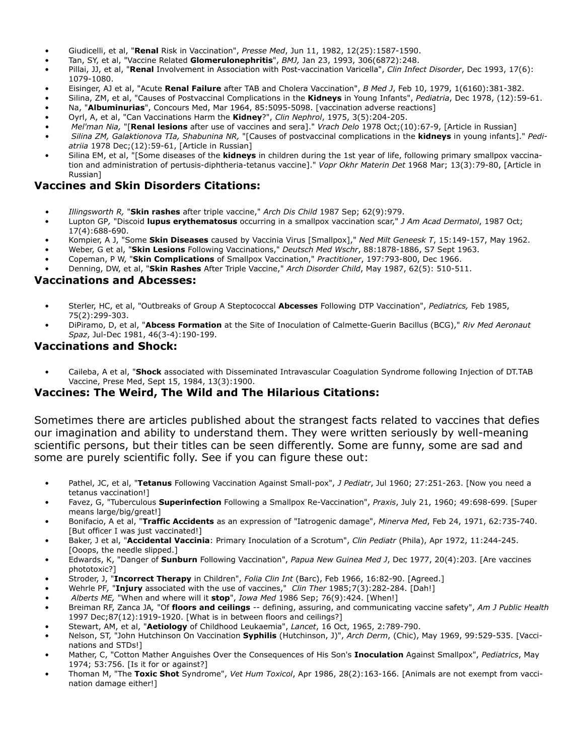- Giudicelli, et al, "**Renal** Risk in Vaccination", *Presse Med*, Jun 11, 1982, 12(25):1587-1590.
- Tan, SY, et al, "Vaccine Related **Glomerulonephritis**", *BMJ,* Jan 23, 1993, 306(6872):248.
- Pillai, JJ, et al, "**Renal** Involvement in Association with Post-vaccination Varicella", *Clin Infect Disorder*, Dec 1993, 17(6): 1079-1080.
- Eisinger, AJ et al, "Acute **Renal Failure** after TAB and Cholera Vaccination", *B Med J*, Feb 10, 1979, 1(6160):381-382.
- Silina, ZM, et al, "Causes of Postvaccinal Complications in the **Kidneys** in Young Infants", *Pediatria*, Dec 1978, (12):59-61.
- Na, "**Albuminurias**", Concours Med, Mar 1964, 85:5095-5098. [vaccination adverse reactions]
- Oyrl, A, et al, "Can Vaccinations Harm the **Kidney**?", *Clin Nephrol*, 1975, 3(5):204-205.
- *Mel'man Nia,* "[**Renal lesions** after use of vaccines and sera]." *Vrach Delo* 1978 Oct;(10):67-9, [Article in Russian]
- *Silina ZM, Galaktionova TIa, Shabunina NR,* "[Causes of postvaccinal complications in the **kidneys** in young infants]." *Pediatriia* 1978 Dec;(12):59-61, [Article in Russian]
- Silina EM, et al, "[Some diseases of the **kidneys** in children during the 1st year of life, following primary smallpox vaccination and administration of pertusis-diphtheria-tetanus vaccine]." *Vopr Okhr Materin Det* 1968 Mar; 13(3):79-80, [Article in Russian]

## **Vaccines and Skin Disorders Citations:**

- *• Illingsworth R,* "**Skin rashes** after triple vaccine," *Arch Dis Child* 1987 Sep; 62(9):979.
- Lupton GP*,* "Discoid **lupus erythematosus** occurring in a smallpox vaccination scar," *J Am Acad Dermatol*, 1987 Oct; 17(4):688-690.
- Kompier, A J, "Some **Skin Diseases** caused by Vaccinia Virus [Smallpox]," *Ned Milt Geneesk T*, 15:149-157, May 1962.
- Weber, G et al, "**Skin Lesions** Following Vaccinations," *Deutsch Med Wschr*, 88:1878-1886, S7 Sept 1963.
- Copeman, P W, "**Skin Complications** of Smallpox Vaccination," *Practitioner*, 197:793-800, Dec 1966.
- Denning, DW, et al, "**Skin Rashes** After Triple Vaccine," *Arch Disorder Child*, May 1987, 62(5): 510-511.

#### **Vaccinations and Abcesses:**

- Sterler, HC, et al, "Outbreaks of Group A Steptococcal **Abcesses** Following DTP Vaccination", *Pediatrics,* Feb 1985, 75(2):299-303.
- DiPiramo, D, et al, "**Abcess Formation** at the Site of Inoculation of Calmette-Guerin Bacillus (BCG)," *Riv Med Aeronaut Spaz*, Jul-Dec 1981, 46(3-4):190-199.

#### **Vaccinations and Shock:**

• Caileba, A et al, "**Shock** associated with Disseminated Intravascular Coagulation Syndrome following Injection of DT.TAB Vaccine, Prese Med, Sept 15, 1984, 13(3):1900.

## **Vaccines: The Weird, The Wild and The Hilarious Citations:**

Sometimes there are articles published about the strangest facts related to vaccines that defies our imagination and ability to understand them. They were written seriously by well-meaning scientific persons, but their titles can be seen differently. Some are funny, some are sad and some are purely scientific folly. See if you can figure these out:

- Pathel, JC, et al, "**Tetanus** Following Vaccination Against Small-pox", *J Pediatr*, Jul 1960; 27:251-263. [Now you need a tetanus vaccination!]
- Favez, G, "Tuberculous **Superinfection** Following a Smallpox Re-Vaccination", *Praxis*, July 21, 1960; 49:698-699. [Super means large/big/great!]
- Bonifacio, A et al, "**Traffic Accidents** as an expression of "Iatrogenic damage", *Minerva Med*, Feb 24, 1971, 62:735-740. [But officer I was just vaccinated!]
- Baker, J et al, "**Accidental Vaccinia**: Primary Inoculation of a Scrotum", *Clin Pediatr* (Phila), Apr 1972, 11:244-245. [Ooops, the needle slipped.]
- Edwards, K, "Danger of **Sunburn** Following Vaccination", *Papua New Guinea Med J*, Dec 1977, 20(4):203. [Are vaccines phototoxic?]
- Stroder, J, "**Incorrect Therapy** in Children", *Folia Clin Int* (Barc), Feb 1966, 16:82-90. [Agreed.]
- Wehrle PF*,* "**Injury** associated with the use of vaccines," *Clin Ther* 1985;7(3):282-284. [Dah!]
- *Alberts ME,* "When and where will it **stop**", *Iowa Med* 1986 Sep; 76(9):424. [When!]
- Breiman RF, Zanca JA*,* "Of **floors and ceilings** -- defining, assuring, and communicating vaccine safety", *Am J Public Health* 1997 Dec;87(12):1919-1920. [What is in between floors and ceilings?]
- Stewart, AM, et al, "**Aetiology** of Childhood Leukaemia", *Lancet*, 16 Oct, 1965, 2:789-790.
- Nelson, ST, "John Hutchinson On Vaccination **Syphilis** (Hutchinson, J)", *Arch Derm*, (Chic), May 1969, 99:529-535. [Vaccinations and STDs!]
- Mather, C, "Cotton Mather Anguishes Over the Consequences of His Son's **Inoculation** Against Smallpox", *Pediatrics*, May 1974; 53:756. [Is it for or against?]
- Thoman M, "The **Toxic Shot** Syndrome", *Vet Hum Toxicol*, Apr 1986, 28(2):163-166. [Animals are not exempt from vaccination damage either!]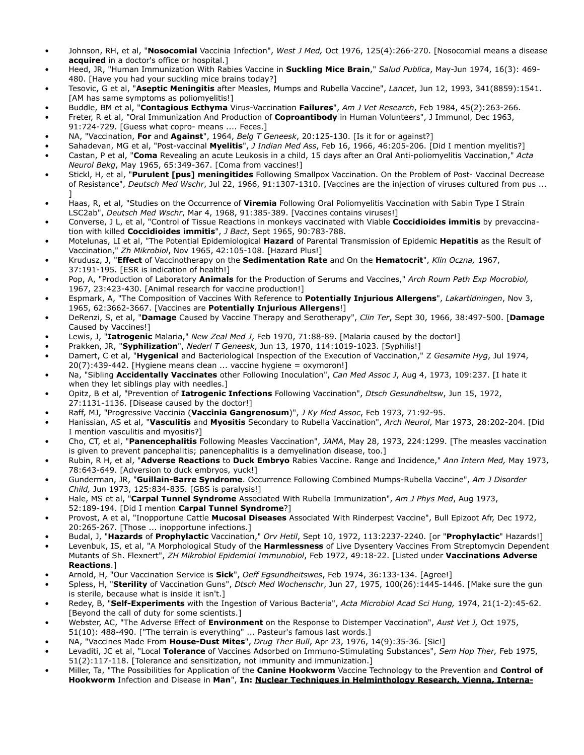- Johnson, RH, et al, "**Nosocomial** Vaccinia Infection", *West J Med,* Oct 1976, 125(4):266-270. [Nosocomial means a disease **acquired** in a doctor's office or hospital.]
- Heed, JR, "Human Immunization With Rabies Vaccine in **Suckling Mice Brain**," *Salud Publica*, May-Jun 1974, 16(3): 469- 480. [Have you had your suckling mice brains today?]
- Tesovic, G et al, "**Aseptic Meningitis** after Measles, Mumps and Rubella Vaccine", *Lancet*, Jun 12, 1993, 341(8859):1541. [AM has same symptoms as poliomyelitis!]
- Buddle, BM et al, "**Contagious Ecthyma** Virus-Vaccination **Failures**", *Am J Vet Research*, Feb 1984, 45(2):263-266.
- Freter, R et al, "Oral Immunization And Production of **Coproantibody** in Human Volunteers", J Immunol, Dec 1963, 91:724-729. [Guess what copro- means .... Feces.]
- NA, "Vaccination, **For** and **Against**", 1964, *Belg T Geneesk*, 20:125-130. [Is it for or against?]
- Sahadevan, MG et al, "Post-vaccinal **Myelitis**", *J Indian Med Ass*, Feb 16, 1966, 46:205-206. [Did I mention myelitis?] • Castan, P et al, "**Coma** Revealing an acute Leukosis in a child, 15 days after an Oral Anti-poliomyelitis Vaccination," *Acta Neurol Bekg*, May 1965, 65:349-367. [Coma from vaccines!]
- Stickl, H, et al, "**Purulent [pus] meningitides** Following Smallpox Vaccination. On the Problem of Post- Vaccinal Decrease of Resistance", *Deutsch Med Wschr*, Jul 22, 1966, 91:1307-1310. [Vaccines are the injection of viruses cultured from pus ... ]
- Haas, R, et al, "Studies on the Occurrence of **Viremia** Following Oral Poliomyelitis Vaccination with Sabin Type I Strain LSC2ab", *Deutsch Med Wschr*, Mar 4, 1968, 91:385-389. [Vaccines contains viruses!]
- Converse, J L, et al, "Control of Tissue Reactions in monkeys vaccinated with Viable **Coccidioides immitis** by prevaccination with killed **Coccidioides immitis**", *J Bact*, Sept 1965, 90:783-788.
- Motelunas, LI et al, "The Potential Epidemiological **Hazard** of Parental Transmission of Epidemic **Hepatitis** as the Result of Vaccination," *Zh Mikrobiol*, Nov 1965, 42:105-108. [Hazard Plus!]
- Krudusz, J, "**Effect** of Vaccinotherapy on the **Sedimentation Rate** and On the **Hematocrit**", *Klin Oczna,* 1967, 37:191-195. [ESR is indication of health!]
- Pop, A, "Production of Laboratory **Animals** for the Production of Serums and Vaccines," *Arch Roum Path Exp Mocrobiol,*  1967, 23:423-430. [Animal research for vaccine production!]
- Espmark, A, "The Composition of Vaccines With Reference to **Potentially Injurious Allergens**", *Lakartidningen*, Nov 3, 1965, 62:3662-3667. [Vaccines are **Potentially Injurious Allergens**!]
- DeRenzi, S, et al, "**Damage** Caused by Vaccine Therapy and Serotherapy", *Clin Ter*, Sept 30, 1966, 38:497-500. [**Damage** Caused by Vaccines!]
- Lewis, J, "**Iatrogenic** Malaria," *New Zeal Med J*, Feb 1970, 71:88-89. [Malaria caused by the doctor!]
- Prakken, JR, "**Syphilization**", *Nederl T Geneesk*, Jun 13, 1970, 114:1019-1023. [Syphilis!]
- Damert, C et al, "**Hygenical** and Bacteriological Inspection of the Execution of Vaccination," Z *Gesamite Hyg*, Jul 1974,  $20(7):439-442$ . [Hygiene means clean ... vaccine hygiene = oxymoron!]
- Na, "Sibling **Accidentally Vaccinates** other Following Inoculation", *Can Med Assoc J*, Aug 4, 1973, 109:237. [I hate it when they let siblings play with needles.]
- Opitz, B et al, "Prevention of **Iatrogenic Infections** Following Vaccination", *Dtsch Gesundheltsw*, Jun 15, 1972, 27:1131-1136. [Disease caused by the doctor!]
- Raff, MJ, "Progressive Vaccinia (**Vaccinia Gangrenosum**)", *J Ky Med Assoc*, Feb 1973, 71:92-95.
- Hanissian, AS et al, "**Vasculitis** and **Myositis** Secondary to Rubella Vaccination", *Arch Neurol*, Mar 1973, 28:202-204. [Did I mention vasculitis and myositis?]
- Cho, CT, et al, "**Panencephalitis** Following Measles Vaccination", *JAMA*, May 28, 1973, 224:1299. [The measles vaccination is given to prevent pancephalitis; panencephalitis is a demyelination disease, too.]
- Rubin, R H, et al, "**Adverse Reactions** to **Duck Embryo** Rabies Vaccine. Range and Incidence," *Ann Intern Med,* May 1973, 78:643-649. [Adversion to duck embryos, yuck!]
- Gunderman, JR, "**Guillain-Barre Syndrome**. Occurrence Following Combined Mumps-Rubella Vaccine", *Am J Disorder Child,* Jun 1973, 125:834-835. [GBS is paralysis!]
- Hale, MS et al, "**Carpal Tunnel Syndrome** Associated With Rubella Immunization", *Am J Phys Med*, Aug 1973, 52:189-194. [Did I mention **Carpal Tunnel Syndrome**?]
- Provost, A et al, "Inopportune Cattle **Mucosal Diseases** Associated With Rinderpest Vaccine", Bull Epizoot Afr, Dec 1972, 20:265-267. [Those ... inopportune infections.]
- Budal, J, "**Hazards** of **Prophylactic** Vaccination," *Orv Hetil*, Sept 10, 1972, 113:2237-2240. [or "**Prophylactic**" Hazards!]
- Levenbuk, IS, et al, "A Morphological Study of the **Harmlessness** of Live Dysentery Vaccines From Streptomycin Dependent Mutants of Sh. Flexnert", *ZH Mikrobiol Epidemiol Immunobiol*, Feb 1972, 49:18-22. [Listed under **Vaccinations Adverse Reactions**.]
- Arnold, H, "Our Vaccination Service is **Sick**", *Oeff Egsundheitswes*, Feb 1974, 36:133-134. [Agree!]
- Spless, H, "**Sterility** of Vaccination Guns", *Dtsch Med Wochenschr*, Jun 27, 1975, 100(26):1445-1446. [Make sure the gun is sterile, because what is inside it isn't.]
- Redey, B, "**Self-Experiments** with the Ingestion of Various Bacteria", *Acta Microbiol Acad Sci Hung,* 1974, 21(1-2):45-62. [Beyond the call of duty for some scientists.]
- Webster, AC, "The Adverse Effect of **Environment** on the Response to Distemper Vaccination", *Aust Vet J,* Oct 1975,
- 51(10): 488-490. ["The terrain is everything" ... Pasteur's famous last words.]
- NA, "Vaccines Made From **House-Dust Mites**", *Drug Ther Bull*, Apr 23, 1976, 14(9):35-36. [Sic!]
- Levaditi, JC et al, "Local **Tolerance** of Vaccines Adsorbed on Immuno-Stimulating Substances", *Sem Hop Ther,* Feb 1975, 51(2):117-118. [Tolerance and sensitization, not immunity and immunization.]
- Miller, Ta, "The Possibilities for Application of the **Canine Hookworm** Vaccine Technology to the Prevention and **Control of Hookworm** Infection and Disease in **Man**", **In: Nuclear Techniques in Helminthology Research, Vienna, Interna-**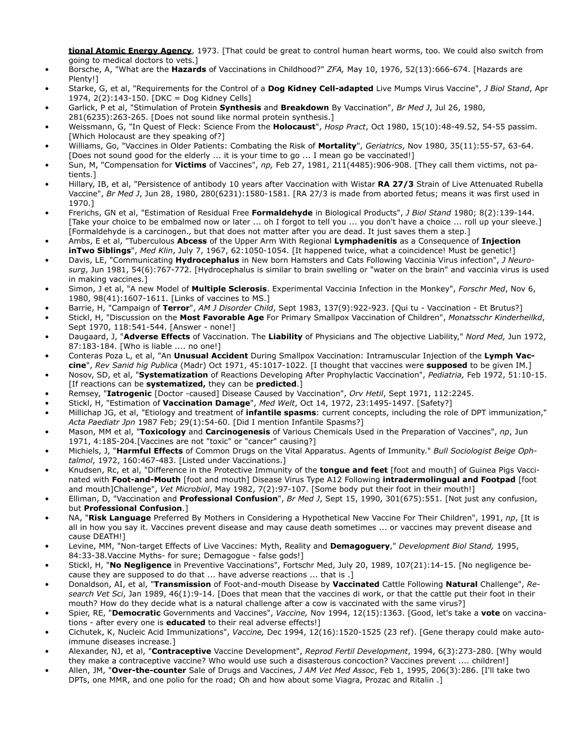**tional Atomic Energy Agency**, 1973. [That could be great to control human heart worms, too. We could also switch from going to medical doctors to vets.]

- Borsche, A, "What are the **Hazards** of Vaccinations in Childhood?" *ZFA,* May 10, 1976, 52(13):666-674. [Hazards are Plenty!]
- Starke, G, et al, "Requirements for the Control of a **Dog Kidney Cell-adapted** Live Mumps Virus Vaccine", *J Biol Stand*, Apr 1974, 2(2):143-150. [DKC = Dog Kidney Cells]
- Garlick, P et al, "Stimulation of Protein **Synthesis** and **Breakdown** By Vaccination", *Br Med J*, Jul 26, 1980,
- 281(6235):263-265. [Does not sound like normal protein synthesis.]
- Weissmann, G, "In Quest of Fleck: Science From the **Holocaust**", *Hosp Pract*, Oct 1980, 15(10):48-49.52, 54-55 passim. [Which Holocaust are they speaking of?]
- Williams, Go, "Vaccines in Older Patients: Combating the Risk of **Mortality**", *Geriatrics*, Nov 1980, 35(11):55-57, 63-64. [Does not sound good for the elderly ... it is your time to go ... I mean go be vaccinated!]
- Sun, M, "Compensation for **Victims** of Vaccines", *np,* Feb 27, 1981, 211(4485):906-908. [They call them victims, not patients.]
- Hillary, IB, et al, "Persistence of antibody 10 years after Vaccination with Wistar **RA 27/3** Strain of Live Attenuated Rubella Vaccine", *Br Med J*, Jun 28, 1980, 280(6231):1580-1581. [RA 27/3 is made from aborted fetus; means it was first used in 1970.]
- Frerichs, GN et al, "Estimation of Residual Free **Formaldehyde** in Biological Products", *J Biol Stand* 1980; 8(2):139-144. [Take your choice to be embalmed now or later ... oh I forgot to tell you ... you don't have a choice ... roll up your sleeve.] [Formaldehyde is a carcinogen., but that does not matter after you are dead. It just saves them a step.]
- Ambs, E et al, "Tuberculous **Abcess** of the Upper Arm With Regional **Lymphadenitis** as a Consequence of **Injection inTwo Siblings**", *Med Klin*, July 7, 1967, 62:1050-1054. [It happened twice, what a coincidence! Must be genetic!]
- Davis, LE, "Communicating **Hydrocephalus** in New born Hamsters and Cats Following Vaccinia Virus infection", *J Neurosurg*, Jun 1981, 54(6):767-772. [Hydrocephalus is similar to brain swelling or "water on the brain" and vaccinia virus is used in making vaccines.]
- Simon, J et al, "A new Model of **Multiple Sclerosis**. Experimental Vaccinia Infection in the Monkey", *Forschr Med*, Nov 6, 1980, 98(41):1607-1611. [Links of vaccines to MS.]
- Barrie, H, "Campaign of **Terror**", *AM J Disorder Child*, Sept 1983, 137(9):922-923. [Qui tu Vaccination Et Brutus?]
- Stickl, H, "Discussion on the **Most Favorable Age** For Primary Smallpox Vaccination of Children", *Monatsschr Kinderheilkd*, Sept 1970, 118:541-544. [Answer - none!]
- Daugaard, J, "**Adverse Effects** of Vaccination. The **Liability** of Physicians and The objective Liability," *Nord Med,* Jun 1972, 87:183-184. [Who is liable .... no one!]
- Conteras Poza L, et al, "An **Unusual Accident** During Smallpox Vaccination: Intramuscular Injection of the **Lymph Vaccine**", *Rev Sanid hig Publica* (Madr) Oct 1971, 45:1017-1022. [I thought that vaccines were **supposed** to be given IM.]
- Nosov, SD, et al, "**Systematization** of Reactions Developing After Prophylactic Vaccination", *Pediatria,* Feb 1972, 51:10-15. [If reactions can be **systematized,** they can be **predicted**.]
- Remsey, "**Iatrogenic** [Doctor -caused] Disease Caused by Vaccination", *Orv Hetil*, Sept 1971, 112:2245.
- Stickl, H, "Estimation of **Vaccination Damage**", *Med Welt*, Oct 14, 1972, 23:1495-1497. [Safety?]
- Millichap JG, et al, "Etiology and treatment of **infantile spasms**: current concepts, including the role of DPT immunization," *Acta Paediatr Jpn* 1987 Feb; 29(1):54-60. [Did I mention Infantile Spasms?]
- Mason, MM et al, "**Toxicology** and **Carcinogenesis** of Various Chemicals Used in the Preparation of Vaccines", *np*, Jun 1971, 4:185-204.[Vaccines are not "toxic" or "cancer" causing?]
- Michiels, J, "**Harmful Effects** of Common Drugs on the Vital Apparatus. Agents of Immunity." *Bull Sociologist Beige Ophtalmol*, 1972, 160:467-483. [Listed under Vaccinations.]
- Knudsen, Rc, et al, "Difference in the Protective Immunity of the **tongue and feet** [foot and mouth] of Guinea Pigs Vaccinated with **Foot-and-Mouth** [foot and mouth] Disease Virus Type A12 Following **intradermolingual and Footpad** [foot and mouth]Challenge", *Vet Microbiol*, May 1982, 7(2):97-107. [Some body put their foot in their mouth!]
- Elliman, D, "Vaccination and **Professional Confusion**", *Br Med J*, Sept 15, 1990, 301(675):551. [Not just any confusion, but **Professional Confusion**.]
- NA, "**Risk Language** Preferred By Mothers in Considering a Hypothetical New Vaccine For Their Children", 1991, *np*, [It is all in how you say it. Vaccines prevent disease and may cause death sometimes ... or vaccines may prevent disease and cause DEATH!]
- Levine, MM, "Non-target Effects of Live Vaccines: Myth, Reality and **Demagoguery**," *Development Biol Stand,* 1995, 84:33-38.Vaccine Myths- for sure; Demagogue - false gods!]
- Stickl, H, "**No Negligence** in Preventive Vaccinations", Fortschr Med, July 20, 1989, 107(21):14-15. [No negligence because they are supposed to do that ... have adverse reactions ... that is .]
- Donaldson, AI, et al, "**Transmission** of Foot-and-mouth Disease by **Vaccinated** Cattle Following **Natural** Challenge", *Research Vet Sci*, Jan 1989, 46(1):9-14. [Does that mean that the vaccines di work, or that the cattle put their foot in their mouth? How do they decide what is a natural challenge after a cow is vaccinated with the same virus?]
- Spier, RE, "**Democratic** Governments and Vaccines", *Vaccine,* Nov 1994, 12(15):1363. [Good, let's take a **vote** on vaccinations - after every one is **educated** to their real adverse effects!]
- Cichutek, K, Nucleic Acid Immunizations", *Vaccine,* Dec 1994, 12(16):1520-1525 (23 ref). [Gene therapy could make autoimmune diseases increase.]
- Alexander, NJ, et al, "**Contraceptive** Vaccine Development", *Reprod Fertil Development*, 1994, 6(3):273-280. [Why would they make a contraceptive vaccine? Who would use such a disasterous concoction? Vaccines prevent .... children!]
- Allen, JM, "**Over-the-counter** Sale of Drugs and Vaccines, *J AM Vet Med Assoc*, Feb 1, 1995, 206(3):286. [I'll take two DPTs, one MMR, and one polio for the road; Oh and how about some Viagra, Prozac and Ritalin .]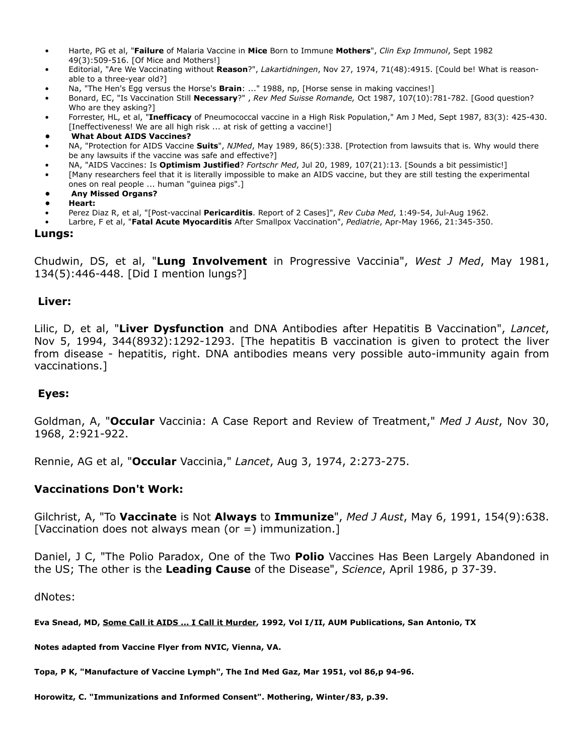- Harte, PG et al, "**Failure** of Malaria Vaccine in **Mice** Born to Immune **Mothers**", *Clin Exp Immunol*, Sept 1982 49(3):509-516. [Of Mice and Mothers!]
- Editorial, "Are We Vaccinating without **Reason**?", *Lakartidningen*, Nov 27, 1974, 71(48):4915. [Could be! What is reasonable to a three-year old?]
- Na, "The Hen's Egg versus the Horse's **Brain**: ..." 1988, np, [Horse sense in making vaccines!]
- Bonard, EC, "Is Vaccination Still **Necessary**?" , *Rev Med Suisse Romande,* Oct 1987, 107(10):781-782. [Good question? Who are they asking?]
- Forrester, HL, et al, "**Inefficacy** of Pneumococcal vaccine in a High Risk Population," Am J Med, Sept 1987, 83(3): 425-430. [Ineffectiveness! We are all high risk ... at risk of getting a vaccine!]
- **What About AIDS Vaccines?**
- NA, "Protection for AIDS Vaccine **Suits**", *NJMed*, May 1989, 86(5):338. [Protection from lawsuits that is. Why would there be any lawsuits if the vaccine was safe and effective?]
- NA, "AIDS Vaccines: Is **Optimism Justified**? *Fortschr Med*, Jul 20, 1989, 107(21):13. [Sounds a bit pessimistic!]
- [Many researchers feel that it is literally impossible to make an AIDS vaccine, but they are still testing the experimental ones on real people ... human "guinea pigs".]
- **Any Missed Organs?**
- **• Heart:**
- Perez Diaz R, et al, "[Post-vaccinal **Pericarditis**. Report of 2 Cases]", *Rev Cuba Med*, 1:49-54, Jul-Aug 1962.
- Larbre, F et al, "**Fatal Acute Myocarditis** After Smallpox Vaccination", *Pediatrie*, Apr-May 1966, 21:345-350.

#### **Lungs:**

Chudwin, DS, et al, "**Lung Involvement** in Progressive Vaccinia", *West J Med*, May 1981, 134(5):446-448. [Did I mention lungs?]

#### **Liver:**

Lilic, D, et al, "**Liver Dysfunction** and DNA Antibodies after Hepatitis B Vaccination", *Lancet*, Nov 5, 1994, 344(8932):1292-1293. [The hepatitis B vaccination is given to protect the liver from disease - hepatitis, right. DNA antibodies means very possible auto-immunity again from vaccinations.]

#### **Eyes:**

Goldman, A, "**Occular** Vaccinia: A Case Report and Review of Treatment," *Med J Aust*, Nov 30, 1968, 2:921-922.

Rennie, AG et al, "**Occular** Vaccinia," *Lancet*, Aug 3, 1974, 2:273-275.

#### **Vaccinations Don't Work:**

Gilchrist, A, "To **Vaccinate** is Not **Always** to **Immunize**", *Med J Aust*, May 6, 1991, 154(9):638. [Vaccination does not always mean (or  $=$  ) immunization.]

Daniel, J C, "The Polio Paradox, One of the Two **Polio** Vaccines Has Been Largely Abandoned in the US; The other is the **Leading Cause** of the Disease", *Science*, April 1986, p 37-39.

dNotes:

**Eva Snead, MD, Some Call it AIDS ... I Call it Murder, 1992, Vol I/II, AUM Publications, San Antonio, TX**

**Notes adapted from Vaccine Flyer from NVIC, Vienna, VA.**

**Topa, P K, "Manufacture of Vaccine Lymph", The Ind Med Gaz, Mar 1951, vol 86,p 94-96.**

**Horowitz, C. "Immunizations and Informed Consent". Mothering, Winter/83, p.39.**